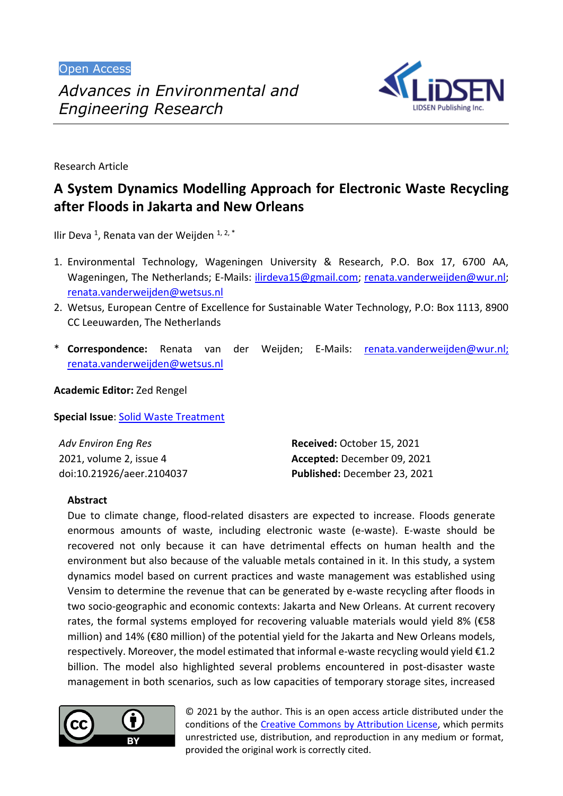Open Access



Research Article

# **A System Dynamics Modelling Approach for Electronic Waste Recycling after Floods in Jakarta and New Orleans**

Ilir Deva <sup>1</sup>, Renata van der Weijden <sup>1, 2, \*</sup>

- 1. Environmental Technology, Wageningen University & Research, P.O. Box 17, 6700 AA, Wageningen, The Netherlands; E-Mails: [ilirdeva15@gmail.com;](mailto:ilirdeva15@gmail.com) [renata.vanderweijden@wur.nl;](mailto:renata.vanderweijden@wur.nl) [renata.vanderweijden@wetsus.nl](mailto:renata.vanderweijden@wetsus.nl)
- 2. Wetsus, European Centre of Excellence for Sustainable Water Technology, P.O: Box 1113, 8900 CC Leeuwarden, The Netherlands
- \* **Correspondence:** Renata van der Weijden; E-Mails: [renata.vanderweijden@wur.nl;](mailto:renata.vanderweijden@wur.nl) renata.vanderweijden@wetsus.nl

**Academic Editor:** Zed Rengel

**Special Issue: [Solid Waste Treatment](https://www.lidsen.com/journals/aeer/aeer-special-issues/solid-waste-treat)** 

| Adv Environ Eng Res       | Received: October 15, 2021   |
|---------------------------|------------------------------|
| 2021, volume 2, issue 4   | Accepted: December 09, 2021  |
| doi:10.21926/aeer.2104037 | Published: December 23, 2021 |

# **Abstract**

Due to climate change, flood-related disasters are expected to increase. Floods generate enormous amounts of waste, including electronic waste (e-waste). E-waste should be recovered not only because it can have detrimental effects on human health and the environment but also because of the valuable metals contained in it. In this study, a system dynamics model based on current practices and waste management was established using Vensim to determine the revenue that can be generated by e-waste recycling after floods in two socio-geographic and economic contexts: Jakarta and New Orleans. At current recovery rates, the formal systems employed for recovering valuable materials would yield 8% (€58 million) and 14% (€80 million) of the potential yield for the Jakarta and New Orleans models, respectively. Moreover, the model estimated that informal e-waste recycling would yield €1.2 billion. The model also highlighted several problems encountered in post-disaster waste management in both scenarios, such as low capacities of temporary storage sites, increased



© 2021 by the author. This is an open access article distributed under the conditions of the [Creative Commons by Attribution License,](http://creativecommons.org/licenses/by/4.0/) which permits unrestricted use, distribution, and reproduction in any medium or format, provided the original work is correctly cited.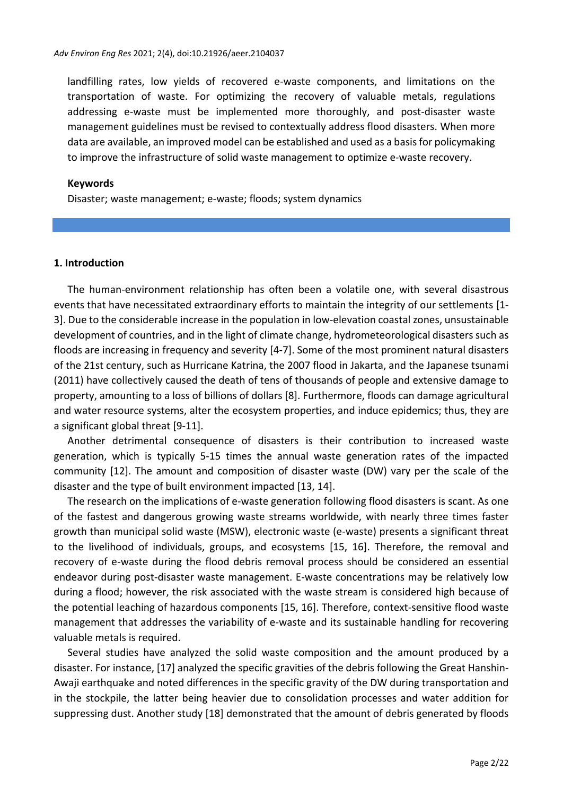landfilling rates, low yields of recovered e-waste components, and limitations on the transportation of waste. For optimizing the recovery of valuable metals, regulations addressing e-waste must be implemented more thoroughly, and post-disaster waste management guidelines must be revised to contextually address flood disasters. When more data are available, an improved model can be established and used as a basis for policymaking to improve the infrastructure of solid waste management to optimize e-waste recovery.

#### **Keywords**

Disaster; waste management; e-waste; floods; system dynamics

#### **1. Introduction**

The human-environment relationship has often been a volatile one, with several disastrous events that have necessitated extraordinary efforts to maintain the integrity of our settlements [1- 3]. Due to the considerable increase in the population in low-elevation coastal zones, unsustainable development of countries, and in the light of climate change, hydrometeorological disasters such as floods are increasing in frequency and severity [4-7]. Some of the most prominent natural disasters of the 21st century, such as Hurricane Katrina, the 2007 flood in Jakarta, and the Japanese tsunami (2011) have collectively caused the death of tens of thousands of people and extensive damage to property, amounting to a loss of billions of dollars [8]. Furthermore, floods can damage agricultural and water resource systems, alter the ecosystem properties, and induce epidemics; thus, they are a significant global threat [9-11].

Another detrimental consequence of disasters is their contribution to increased waste generation, which is typically 5-15 times the annual waste generation rates of the impacted community [12]. The amount and composition of disaster waste (DW) vary per the scale of the disaster and the type of built environment impacted [13, 14].

The research on the implications of e-waste generation following flood disasters is scant. As one of the fastest and dangerous growing waste streams worldwide, with nearly three times faster growth than municipal solid waste (MSW), electronic waste (e-waste) presents a significant threat to the livelihood of individuals, groups, and ecosystems [15, 16]. Therefore, the removal and recovery of e-waste during the flood debris removal process should be considered an essential endeavor during post-disaster waste management. E-waste concentrations may be relatively low during a flood; however, the risk associated with the waste stream is considered high because of the potential leaching of hazardous components [15, 16]. Therefore, context-sensitive flood waste management that addresses the variability of e-waste and its sustainable handling for recovering valuable metals is required.

Several studies have analyzed the solid waste composition and the amount produced by a disaster. For instance, [17] analyzed the specific gravities of the debris following the Great Hanshin-Awaji earthquake and noted differences in the specific gravity of the DW during transportation and in the stockpile, the latter being heavier due to consolidation processes and water addition for suppressing dust. Another study [18] demonstrated that the amount of debris generated by floods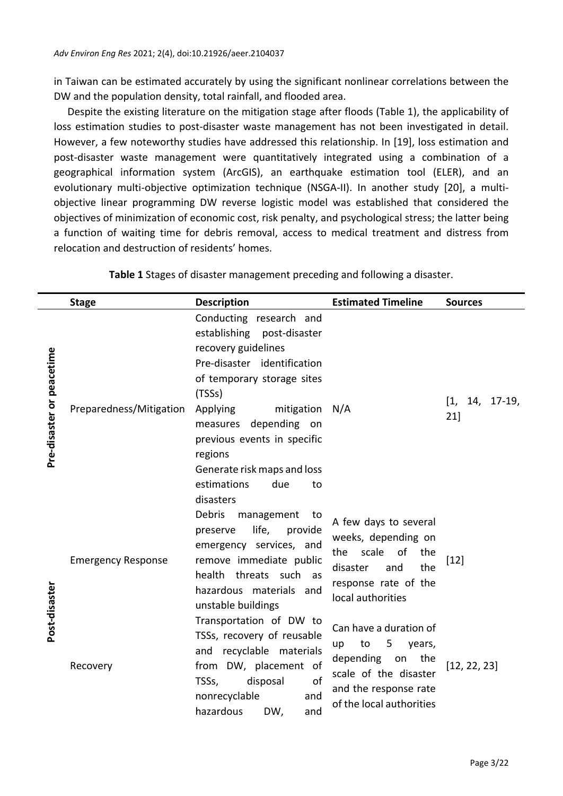in Taiwan can be estimated accurately by using the significant nonlinear correlations between the DW and the population density, total rainfall, and flooded area.

Despite the existing literature on the mitigation stage after floods (Table 1), the applicability of loss estimation studies to post-disaster waste management has not been investigated in detail. However, a few noteworthy studies have addressed this relationship. In [19], loss estimation and post-disaster waste management were quantitatively integrated using a combination of a geographical information system (ArcGIS), an earthquake estimation tool (ELER), and an evolutionary multi-objective optimization technique (NSGA-II). In another study [20], a multiobjective linear programming DW reverse logistic model was established that considered the objectives of minimization of economic cost, risk penalty, and psychological stress; the latter being a function of waiting time for debris removal, access to medical treatment and distress from relocation and destruction of residents' homes.

|                           | <b>Stage</b>              | <b>Description</b>                                                                                                                                                                                                                                                                                                       | <b>Estimated Timeline</b>                                                                                                                                 | <b>Sources</b>          |
|---------------------------|---------------------------|--------------------------------------------------------------------------------------------------------------------------------------------------------------------------------------------------------------------------------------------------------------------------------------------------------------------------|-----------------------------------------------------------------------------------------------------------------------------------------------------------|-------------------------|
| Pre-disaster or peacetime | Preparedness/Mitigation   | Conducting research and<br>establishing post-disaster<br>recovery guidelines<br>Pre-disaster identification<br>of temporary storage sites<br>(TSSs)<br>Applying<br>mitigation<br>measures depending on<br>previous events in specific<br>regions<br>Generate risk maps and loss<br>estimations<br>due<br>to<br>disasters | N/A                                                                                                                                                       | $[1, 14, 17-19]$<br>21] |
| Post-disaster             | <b>Emergency Response</b> | Debris<br>management<br>to t<br>life,<br>preserve<br>provide<br>emergency services, and<br>remove immediate public<br>health threats such as<br>hazardous materials and<br>unstable buildings                                                                                                                            | A few days to several<br>weeks, depending on<br>scale of<br>the<br>the<br>the<br>disaster<br>and<br>response rate of the<br>local authorities             | $[12]$                  |
|                           | Recovery                  | Transportation of DW to<br>TSSs, recovery of reusable<br>and recyclable materials<br>from DW, placement of<br>of<br>disposal<br>TSSs,<br>nonrecyclable<br>and<br>hazardous<br>DW,<br>and                                                                                                                                 | Can have a duration of<br>to<br>5<br>years,<br>up<br>depending<br>the<br>on<br>scale of the disaster<br>and the response rate<br>of the local authorities | [12, 22, 23]            |

**Table 1** Stages of disaster management preceding and following a disaster.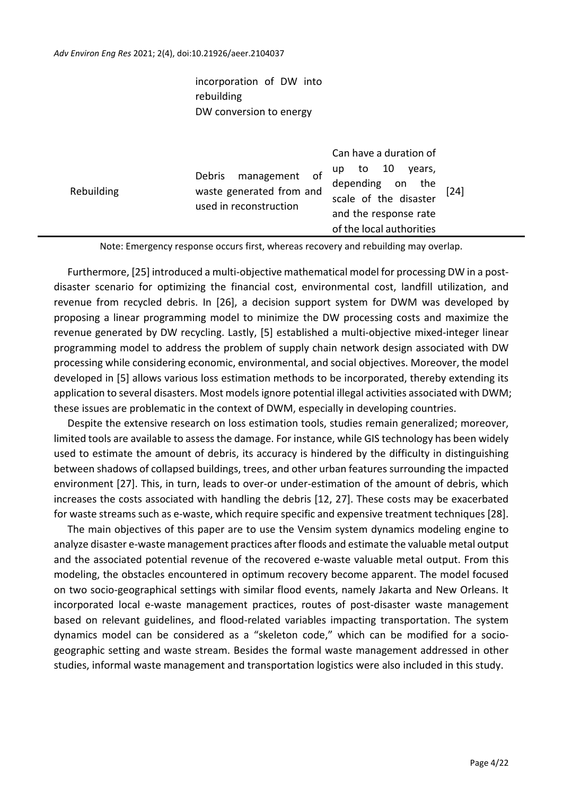incorporation of DW into rebuilding DW conversion to energy

| Rebuilding | management of<br>Debris<br>waste generated from and<br>used in reconstruction | Can have a duration of<br>to 10<br>years,<br>up<br>depending on the ron<br>scale of the disaster<br>and the response rate<br>of the local authorities | [24] |
|------------|-------------------------------------------------------------------------------|-------------------------------------------------------------------------------------------------------------------------------------------------------|------|
|            |                                                                               |                                                                                                                                                       |      |

Note: Emergency response occurs first, whereas recovery and rebuilding may overlap.

Furthermore, [25] introduced a multi-objective mathematical model for processing DW in a postdisaster scenario for optimizing the financial cost, environmental cost, landfill utilization, and revenue from recycled debris. In [26], a decision support system for DWM was developed by proposing a linear programming model to minimize the DW processing costs and maximize the revenue generated by DW recycling. Lastly, [5] established a multi-objective mixed-integer linear programming model to address the problem of supply chain network design associated with DW processing while considering economic, environmental, and social objectives. Moreover, the model developed in [5] allows various loss estimation methods to be incorporated, thereby extending its application to several disasters. Most models ignore potential illegal activities associated with DWM; these issues are problematic in the context of DWM, especially in developing countries.

Despite the extensive research on loss estimation tools, studies remain generalized; moreover, limited tools are available to assess the damage. For instance, while GIS technology has been widely used to estimate the amount of debris, its accuracy is hindered by the difficulty in distinguishing between shadows of collapsed buildings, trees, and other urban features surrounding the impacted environment [27]. This, in turn, leads to over-or under-estimation of the amount of debris, which increases the costs associated with handling the debris [12, 27]. These costs may be exacerbated for waste streams such as e-waste, which require specific and expensive treatment techniques [28].

The main objectives of this paper are to use the Vensim system dynamics modeling engine to analyze disaster e-waste management practices after floods and estimate the valuable metal output and the associated potential revenue of the recovered e-waste valuable metal output. From this modeling, the obstacles encountered in optimum recovery become apparent. The model focused on two socio-geographical settings with similar flood events, namely Jakarta and New Orleans. It incorporated local e-waste management practices, routes of post-disaster waste management based on relevant guidelines, and flood-related variables impacting transportation. The system dynamics model can be considered as a "skeleton code," which can be modified for a sociogeographic setting and waste stream. Besides the formal waste management addressed in other studies, informal waste management and transportation logistics were also included in this study.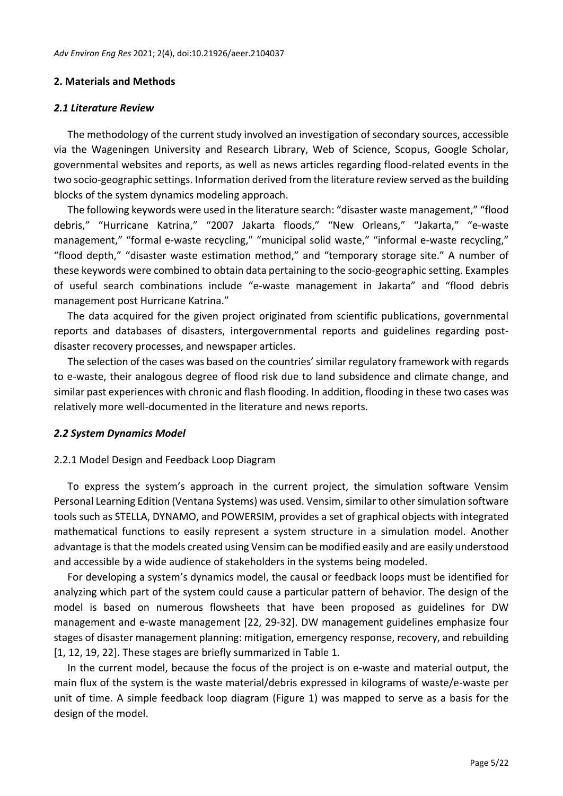# **2. Materials and Methods**

#### *2.1 Literature Review*

The methodology of the current study involved an investigation of secondary sources, accessible via the Wageningen University and Research Library, Web of Science, Scopus, Google Scholar, governmental websites and reports, as well as news articles regarding flood-related events in the two socio-geographic settings. Information derived from the literature review served as the building blocks of the system dynamics modeling approach.

The following keywords were used in the literature search: "disaster waste management," "flood debris," "Hurricane Katrina," "2007 Jakarta floods," "New Orleans," "Jakarta," "e-waste management," "formal e-waste recycling," "municipal solid waste," "informal e-waste recycling," "flood depth," "disaster waste estimation method," and "temporary storage site." A number of these keywords were combined to obtain data pertaining to the socio-geographic setting. Examples of useful search combinations include "e-waste management in Jakarta" and "flood debris management post Hurricane Katrina."

The data acquired for the given project originated from scientific publications, governmental reports and databases of disasters, intergovernmental reports and guidelines regarding postdisaster recovery processes, and newspaper articles.

The selection of the cases was based on the countries' similar regulatory framework with regards to e-waste, their analogous degree of flood risk due to land subsidence and climate change, and similar past experiences with chronic and flash flooding. In addition, flooding in these two cases was relatively more well-documented in the literature and news reports.

# *2.2 System Dynamics Model*

# 2.2.1 Model Design and Feedback Loop Diagram

To express the system's approach in the current project, the simulation software Vensim Personal Learning Edition (Ventana Systems) was used. Vensim, similar to other simulation software tools such as STELLA, DYNAMO, and POWERSIM, provides a set of graphical objects with integrated mathematical functions to easily represent a system structure in a simulation model. Another advantage is that the models created using Vensim can be modified easily and are easily understood and accessible by a wide audience of stakeholders in the systems being modeled.

For developing a system's dynamics model, the causal or feedback loops must be identified for analyzing which part of the system could cause a particular pattern of behavior. The design of the model is based on numerous flowsheets that have been proposed as guidelines for DW management and e-waste management [22, 29-32]. DW management guidelines emphasize four stages of disaster management planning: mitigation, emergency response, recovery, and rebuilding [1, 12, 19, 22]. These stages are briefly summarized in Table 1.

In the current model, because the focus of the project is on e-waste and material output, the main flux of the system is the waste material/debris expressed in kilograms of waste/e-waste per unit of time. A simple feedback loop diagram (Figure 1) was mapped to serve as a basis for the design of the model.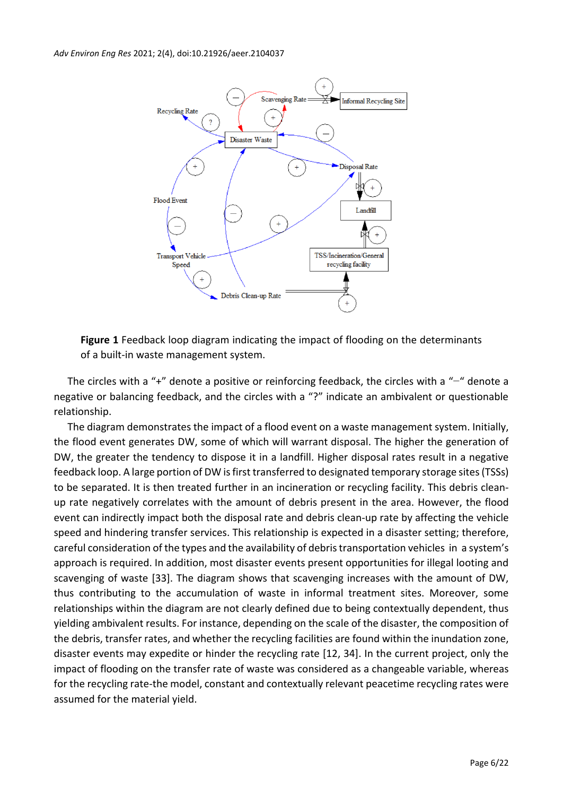

**Figure 1** Feedback loop diagram indicating the impact of flooding on the determinants of a built-in waste management system.

The circles with a "+" denote a positive or reinforcing feedback, the circles with a "−" denote a negative or balancing feedback, and the circles with a "?" indicate an ambivalent or questionable relationship.

The diagram demonstrates the impact of a flood event on a waste management system. Initially, the flood event generates DW, some of which will warrant disposal. The higher the generation of DW, the greater the tendency to dispose it in a landfill. Higher disposal rates result in a negative feedback loop. A large portion of DW is first transferred to designated temporary storage sites (TSSs) to be separated. It is then treated further in an incineration or recycling facility. This debris cleanup rate negatively correlates with the amount of debris present in the area. However, the flood event can indirectly impact both the disposal rate and debris clean-up rate by affecting the vehicle speed and hindering transfer services. This relationship is expected in a disaster setting; therefore, careful consideration of the types and the availability of debris transportation vehicles in a system's approach is required. In addition, most disaster events present opportunities for illegal looting and scavenging of waste [33]. The diagram shows that scavenging increases with the amount of DW, thus contributing to the accumulation of waste in informal treatment sites. Moreover, some relationships within the diagram are not clearly defined due to being contextually dependent, thus yielding ambivalent results. For instance, depending on the scale of the disaster, the composition of the debris, transfer rates, and whether the recycling facilities are found within the inundation zone, disaster events may expedite or hinder the recycling rate [12, 34]. In the current project, only the impact of flooding on the transfer rate of waste was considered as a changeable variable, whereas for the recycling rate-the model, constant and contextually relevant peacetime recycling rates were assumed for the material yield.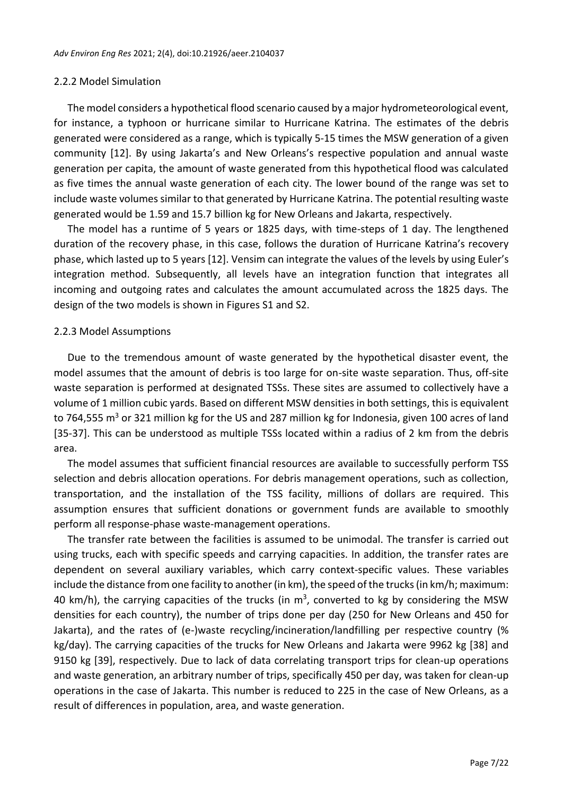#### 2.2.2 Model Simulation

The model considers a hypothetical flood scenario caused by a major hydrometeorological event, for instance, a typhoon or hurricane similar to Hurricane Katrina. The estimates of the debris generated were considered as a range, which is typically 5-15 times the MSW generation of a given community [12]. By using Jakarta's and New Orleans's respective population and annual waste generation per capita, the amount of waste generated from this hypothetical flood was calculated as five times the annual waste generation of each city. The lower bound of the range was set to include waste volumes similar to that generated by Hurricane Katrina. The potential resulting waste generated would be 1.59 and 15.7 billion kg for New Orleans and Jakarta, respectively.

The model has a runtime of 5 years or 1825 days, with time-steps of 1 day. The lengthened duration of the recovery phase, in this case, follows the duration of Hurricane Katrina's recovery phase, which lasted up to 5 years [12]. Vensim can integrate the values of the levels by using Euler's integration method. Subsequently, all levels have an integration function that integrates all incoming and outgoing rates and calculates the amount accumulated across the 1825 days. The design of the two models is shown in Figures S1 and S2.

#### 2.2.3 Model Assumptions

Due to the tremendous amount of waste generated by the hypothetical disaster event, the model assumes that the amount of debris is too large for on-site waste separation. Thus, off-site waste separation is performed at designated TSSs. These sites are assumed to collectively have a volume of 1 million cubic yards. Based on different MSW densities in both settings, this is equivalent to 764,555  $\text{m}^3$  or 321 million kg for the US and 287 million kg for Indonesia, given 100 acres of land [35-37]. This can be understood as multiple TSSs located within a radius of 2 km from the debris area.

The model assumes that sufficient financial resources are available to successfully perform TSS selection and debris allocation operations. For debris management operations, such as collection, transportation, and the installation of the TSS facility, millions of dollars are required. This assumption ensures that sufficient donations or government funds are available to smoothly perform all response-phase waste-management operations.

The transfer rate between the facilities is assumed to be unimodal. The transfer is carried out using trucks, each with specific speeds and carrying capacities. In addition, the transfer rates are dependent on several auxiliary variables, which carry context-specific values. These variables include the distance from one facility to another (in km), the speed of the trucks(in km/h; maximum: 40 km/h), the carrying capacities of the trucks (in  $m^3$ , converted to kg by considering the MSW densities for each country), the number of trips done per day (250 for New Orleans and 450 for Jakarta), and the rates of (e-)waste recycling/incineration/landfilling per respective country (% kg/day). The carrying capacities of the trucks for New Orleans and Jakarta were 9962 kg [38] and 9150 kg [39], respectively. Due to lack of data correlating transport trips for clean-up operations and waste generation, an arbitrary number of trips, specifically 450 per day, was taken for clean-up operations in the case of Jakarta. This number is reduced to 225 in the case of New Orleans, as a result of differences in population, area, and waste generation.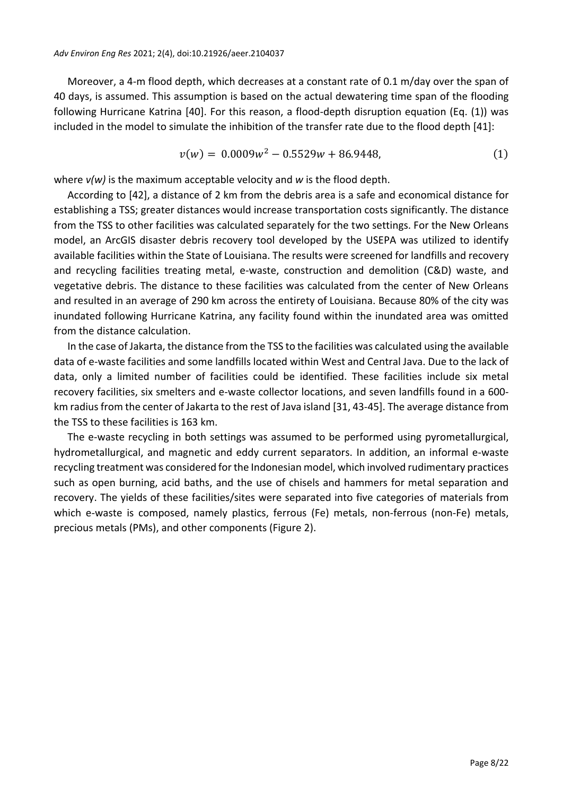Moreover, a 4-m flood depth, which decreases at a constant rate of 0.1 m/day over the span of 40 days, is assumed. This assumption is based on the actual dewatering time span of the flooding following Hurricane Katrina [40]. For this reason, a flood-depth disruption equation (Eq. (1)) was included in the model to simulate the inhibition of the transfer rate due to the flood depth [41]:

$$
v(w) = 0.0009w^2 - 0.5529w + 86.9448,
$$
\n(1)

where *v(w)* is the maximum acceptable velocity and *w* is the flood depth.

According to [42], a distance of 2 km from the debris area is a safe and economical distance for establishing a TSS; greater distances would increase transportation costs significantly. The distance from the TSS to other facilities was calculated separately for the two settings. For the New Orleans model, an ArcGIS disaster debris recovery tool developed by the USEPA was utilized to identify available facilities within the State of Louisiana. The results were screened for landfills and recovery and recycling facilities treating metal, e-waste, construction and demolition (C&D) waste, and vegetative debris. The distance to these facilities was calculated from the center of New Orleans and resulted in an average of 290 km across the entirety of Louisiana. Because 80% of the city was inundated following Hurricane Katrina, any facility found within the inundated area was omitted from the distance calculation.

In the case of Jakarta, the distance from the TSS to the facilities was calculated using the available data of e-waste facilities and some landfills located within West and Central Java. Due to the lack of data, only a limited number of facilities could be identified. These facilities include six metal recovery facilities, six smelters and e-waste collector locations, and seven landfills found in a 600 km radius from the center of Jakarta to the rest of Java island [31, 43-45]. The average distance from the TSS to these facilities is 163 km.

The e-waste recycling in both settings was assumed to be performed using pyrometallurgical, hydrometallurgical, and magnetic and eddy current separators. In addition, an informal e-waste recycling treatment was considered for the Indonesian model, which involved rudimentary practices such as open burning, acid baths, and the use of chisels and hammers for metal separation and recovery. The yields of these facilities/sites were separated into five categories of materials from which e-waste is composed, namely plastics, ferrous (Fe) metals, non-ferrous (non-Fe) metals, precious metals (PMs), and other components (Figure 2).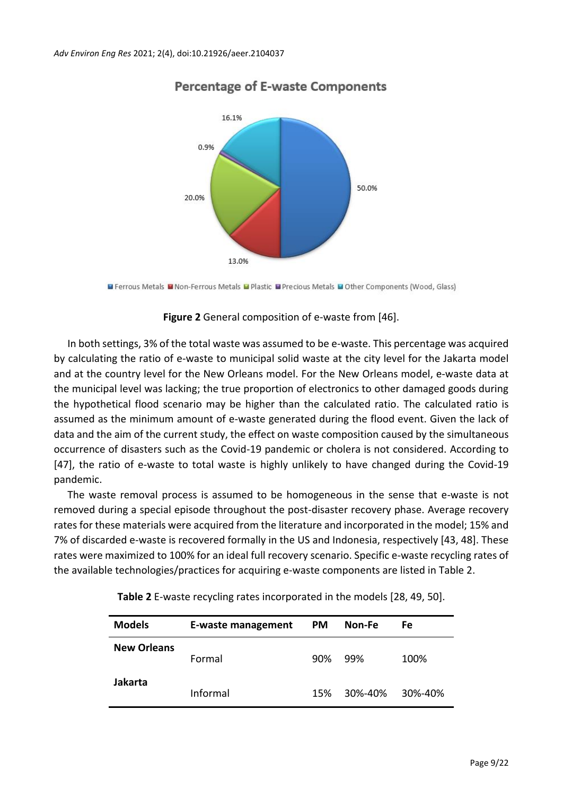

# **Percentage of E-waste Components**

#### **Figure 2** General composition of e-waste from [46].

In both settings, 3% of the total waste was assumed to be e-waste. This percentage was acquired by calculating the ratio of e-waste to municipal solid waste at the city level for the Jakarta model and at the country level for the New Orleans model. For the New Orleans model, e-waste data at the municipal level was lacking; the true proportion of electronics to other damaged goods during the hypothetical flood scenario may be higher than the calculated ratio. The calculated ratio is assumed as the minimum amount of e-waste generated during the flood event. Given the lack of data and the aim of the current study, the effect on waste composition caused by the simultaneous occurrence of disasters such as the Covid-19 pandemic or cholera is not considered. According to [47], the ratio of e-waste to total waste is highly unlikely to have changed during the Covid-19 pandemic.

The waste removal process is assumed to be homogeneous in the sense that e-waste is not removed during a special episode throughout the post-disaster recovery phase. Average recovery rates for these materials were acquired from the literature and incorporated in the model; 15% and 7% of discarded e-waste is recovered formally in the US and Indonesia, respectively [43, 48]. These rates were maximized to 100% for an ideal full recovery scenario. Specific e-waste recycling rates of the available technologies/practices for acquiring e-waste components are listed in Table 2.

| <b>Models</b>      | E-waste management | <b>PM</b> | Non-Fe  | Fe      |
|--------------------|--------------------|-----------|---------|---------|
| <b>New Orleans</b> | Formal             | 90%       | -99%    | 100%    |
| Jakarta            | Informal           | 15%       | 30%-40% | 30%-40% |

**Table 2** E-waste recycling rates incorporated in the models [28, 49, 50].

Ferrous Metals Mon-Ferrous Metals Melastic Precious Metals Mother Components (Wood, Glass)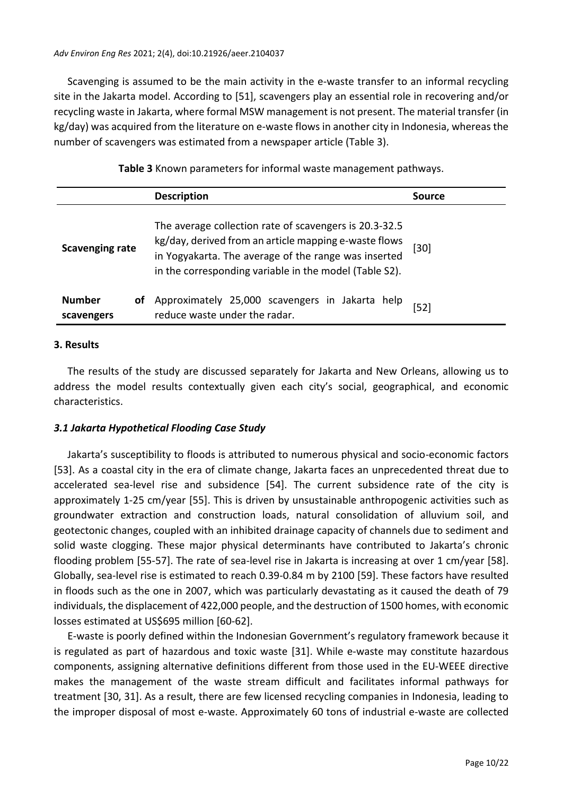Scavenging is assumed to be the main activity in the e-waste transfer to an informal recycling site in the Jakarta model. According to [51], scavengers play an essential role in recovering and/or recycling waste in Jakarta, where formal MSW management is not present. The material transfer (in kg/day) was acquired from the literature on e-waste flows in another city in Indonesia, whereas the number of scavengers was estimated from a newspaper article (Table 3).

**Table 3** Known parameters for informal waste management pathways.

|                                   | <b>Description</b>                                                                                                                                                                                                                | Source |
|-----------------------------------|-----------------------------------------------------------------------------------------------------------------------------------------------------------------------------------------------------------------------------------|--------|
| <b>Scavenging rate</b>            | The average collection rate of scavengers is 20.3-32.5<br>kg/day, derived from an article mapping e-waste flows<br>in Yogyakarta. The average of the range was inserted<br>in the corresponding variable in the model (Table S2). | $[30]$ |
| <b>Number</b><br>οt<br>scavengers | Approximately 25,000 scavengers in Jakarta help<br>reduce waste under the radar.                                                                                                                                                  | [52]   |

#### **3. Results**

The results of the study are discussed separately for Jakarta and New Orleans, allowing us to address the model results contextually given each city's social, geographical, and economic characteristics.

#### *3.1 Jakarta Hypothetical Flooding Case Study*

Jakarta's susceptibility to floods is attributed to numerous physical and socio-economic factors [53]. As a coastal city in the era of climate change, Jakarta faces an unprecedented threat due to accelerated sea-level rise and subsidence [54]. The current subsidence rate of the city is approximately 1-25 cm/year [55]. This is driven by unsustainable anthropogenic activities such as groundwater extraction and construction loads, natural consolidation of alluvium soil, and geotectonic changes, coupled with an inhibited drainage capacity of channels due to sediment and solid waste clogging. These major physical determinants have contributed to Jakarta's chronic flooding problem [55-57]. The rate of sea-level rise in Jakarta is increasing at over 1 cm/year [58]. Globally, sea-level rise is estimated to reach 0.39-0.84 m by 2100 [59]. These factors have resulted in floods such as the one in 2007, which was particularly devastating as it caused the death of 79 individuals, the displacement of 422,000 people, and the destruction of 1500 homes, with economic losses estimated at US\$695 million [60-62].

E-waste is poorly defined within the Indonesian Government's regulatory framework because it is regulated as part of hazardous and toxic waste [31]. While e-waste may constitute hazardous components, assigning alternative definitions different from those used in the EU-WEEE directive makes the management of the waste stream difficult and facilitates informal pathways for treatment [30, 31]. As a result, there are few licensed recycling companies in Indonesia, leading to the improper disposal of most e-waste. Approximately 60 tons of industrial e-waste are collected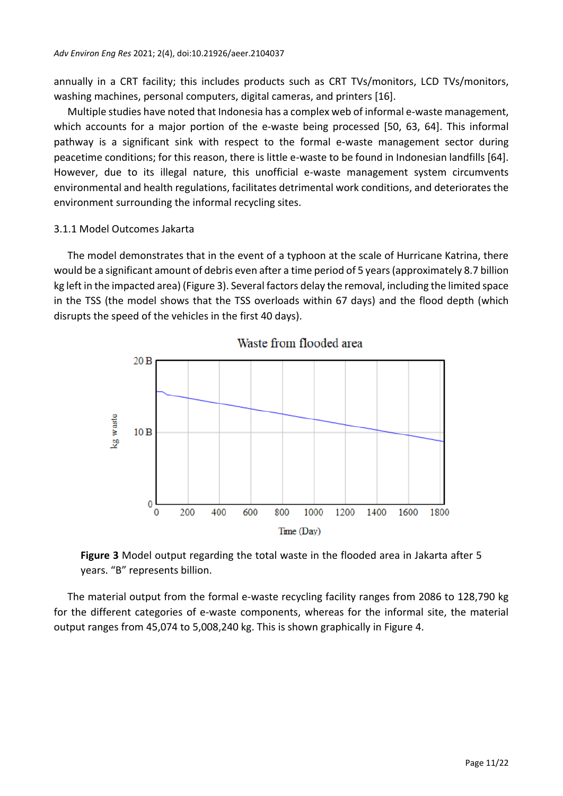annually in a CRT facility; this includes products such as CRT TVs/monitors, LCD TVs/monitors, washing machines, personal computers, digital cameras, and printers [16].

Multiple studies have noted that Indonesia has a complex web of informal e-waste management, which accounts for a major portion of the e-waste being processed [50, 63, 64]. This informal pathway is a significant sink with respect to the formal e-waste management sector during peacetime conditions; for this reason, there is little e-waste to be found in Indonesian landfills [64]. However, due to its illegal nature, this unofficial e-waste management system circumvents environmental and health regulations, facilitates detrimental work conditions, and deteriorates the environment surrounding the informal recycling sites.

#### 3.1.1 Model Outcomes Jakarta

The model demonstrates that in the event of a typhoon at the scale of Hurricane Katrina, there would be a significant amount of debris even after a time period of 5 years(approximately 8.7 billion kg left in the impacted area) (Figure 3). Several factors delay the removal, including the limited space in the TSS (the model shows that the TSS overloads within 67 days) and the flood depth (which disrupts the speed of the vehicles in the first 40 days).



Waste from flooded area

**Figure 3** Model output regarding the total waste in the flooded area in Jakarta after 5 years. "B" represents billion.

The material output from the formal e-waste recycling facility ranges from 2086 to 128,790 kg for the different categories of e-waste components, whereas for the informal site, the material output ranges from 45,074 to 5,008,240 kg. This is shown graphically in Figure 4.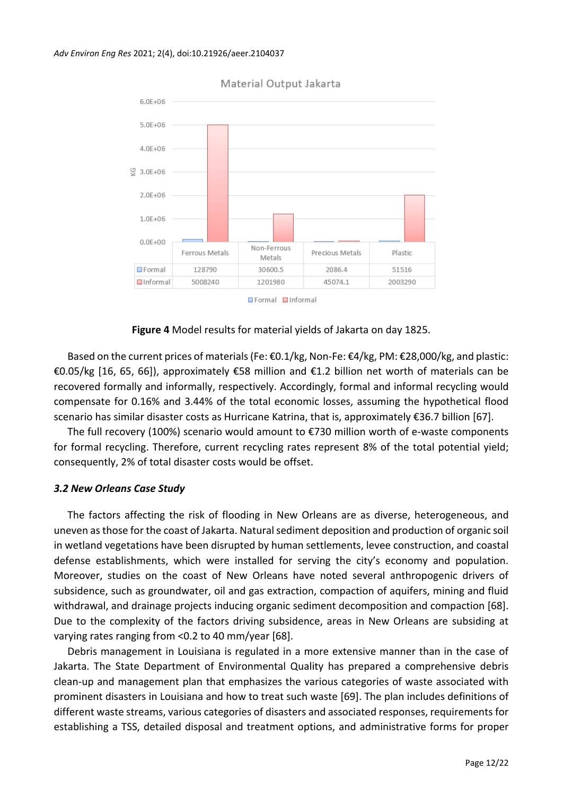

Material Output Jakarta

**Figure 4** Model results for material yields of Jakarta on day 1825.

Based on the current prices of materials(Fe: €0.1/kg, Non-Fe: €4/kg, PM: €28,000/kg, and plastic: €0.05/kg [16, 65, 66]), approximately €58 million and €1.2 billion net worth of materials can be recovered formally and informally, respectively. Accordingly, formal and informal recycling would compensate for 0.16% and 3.44% of the total economic losses, assuming the hypothetical flood scenario has similar disaster costs as Hurricane Katrina, that is, approximately €36.7 billion [67].

The full recovery (100%) scenario would amount to €730 million worth of e-waste components for formal recycling. Therefore, current recycling rates represent 8% of the total potential yield; consequently, 2% of total disaster costs would be offset.

#### *3.2 New Orleans Case Study*

The factors affecting the risk of flooding in New Orleans are as diverse, heterogeneous, and uneven as those for the coast of Jakarta. Natural sediment deposition and production of organic soil in wetland vegetations have been disrupted by human settlements, levee construction, and coastal defense establishments, which were installed for serving the city's economy and population. Moreover, studies on the coast of New Orleans have noted several anthropogenic drivers of subsidence, such as groundwater, oil and gas extraction, compaction of aquifers, mining and fluid withdrawal, and drainage projects inducing organic sediment decomposition and compaction [68]. Due to the complexity of the factors driving subsidence, areas in New Orleans are subsiding at varying rates ranging from <0.2 to 40 mm/year [68].

Debris management in Louisiana is regulated in a more extensive manner than in the case of Jakarta. The State Department of Environmental Quality has prepared a comprehensive debris clean-up and management plan that emphasizes the various categories of waste associated with prominent disasters in Louisiana and how to treat such waste [69]. The plan includes definitions of different waste streams, various categories of disasters and associated responses, requirements for establishing a TSS, detailed disposal and treatment options, and administrative forms for proper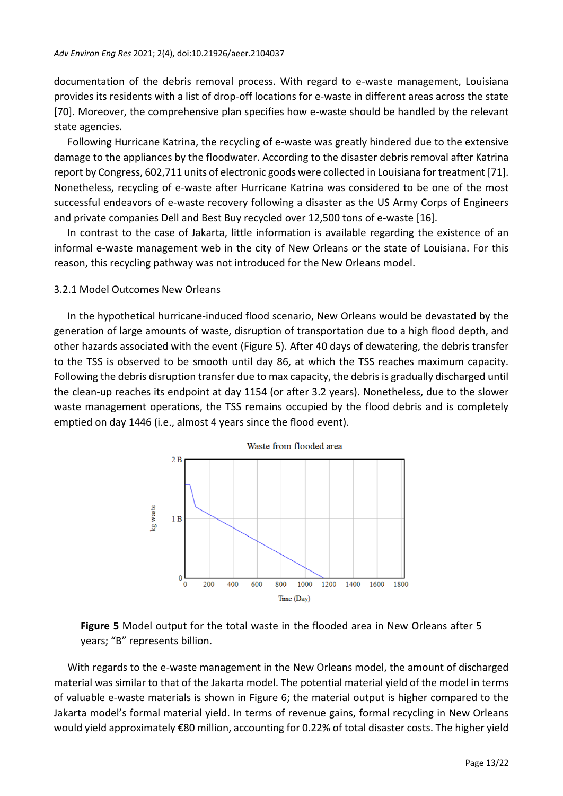documentation of the debris removal process. With regard to e-waste management, Louisiana provides its residents with a list of drop-off locations for e-waste in different areas across the state [70]. Moreover, the comprehensive plan specifies how e-waste should be handled by the relevant state agencies.

Following Hurricane Katrina, the recycling of e-waste was greatly hindered due to the extensive damage to the appliances by the floodwater. According to the disaster debris removal after Katrina report by Congress, 602,711 units of electronic goods were collected in Louisiana for treatment [71]. Nonetheless, recycling of e-waste after Hurricane Katrina was considered to be one of the most successful endeavors of e-waste recovery following a disaster as the US Army Corps of Engineers and private companies Dell and Best Buy recycled over 12,500 tons of e-waste [16].

In contrast to the case of Jakarta, little information is available regarding the existence of an informal e-waste management web in the city of New Orleans or the state of Louisiana. For this reason, this recycling pathway was not introduced for the New Orleans model.

#### 3.2.1 Model Outcomes New Orleans

In the hypothetical hurricane-induced flood scenario, New Orleans would be devastated by the generation of large amounts of waste, disruption of transportation due to a high flood depth, and other hazards associated with the event (Figure 5). After 40 days of dewatering, the debris transfer to the TSS is observed to be smooth until day 86, at which the TSS reaches maximum capacity. Following the debris disruption transfer due to max capacity, the debris is gradually discharged until the clean-up reaches its endpoint at day 1154 (or after 3.2 years). Nonetheless, due to the slower waste management operations, the TSS remains occupied by the flood debris and is completely emptied on day 1446 (i.e., almost 4 years since the flood event).





With regards to the e-waste management in the New Orleans model, the amount of discharged material was similar to that of the Jakarta model. The potential material yield of the model in terms of valuable e-waste materials is shown in Figure 6; the material output is higher compared to the Jakarta model's formal material yield. In terms of revenue gains, formal recycling in New Orleans would yield approximately €80 million, accounting for 0.22% of total disaster costs. The higher yield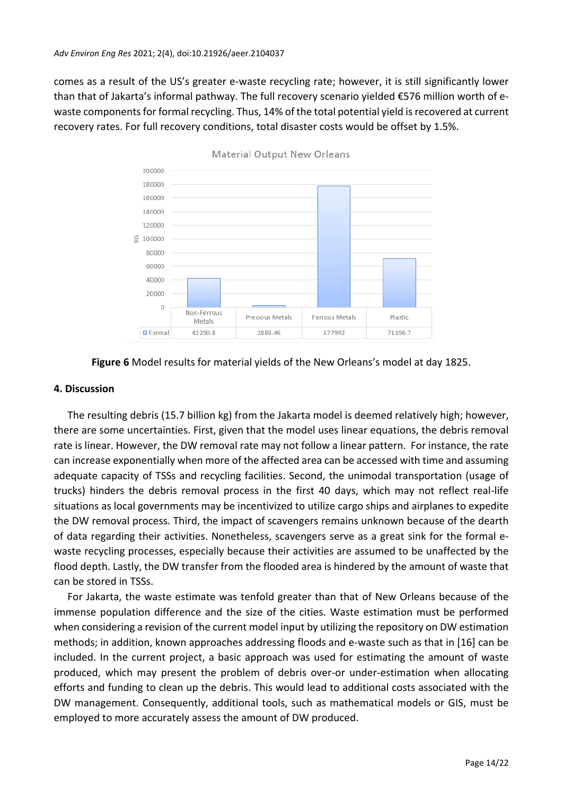comes as a result of the US's greater e-waste recycling rate; however, it is still significantly lower than that of Jakarta's informal pathway. The full recovery scenario yielded €576 million worth of ewaste components for formal recycling. Thus, 14% of the total potential yield is recovered at current recovery rates. For full recovery conditions, total disaster costs would be offset by 1.5%.



**Material Output New Orleans** 

#### **Figure 6** Model results for material yields of the New Orleans's model at day 1825.

#### **4. Discussion**

The resulting debris (15.7 billion kg) from the Jakarta model is deemed relatively high; however, there are some uncertainties. First, given that the model uses linear equations, the debris removal rate is linear. However, the DW removal rate may not follow a linear pattern. For instance, the rate can increase exponentially when more of the affected area can be accessed with time and assuming adequate capacity of TSSs and recycling facilities. Second, the unimodal transportation (usage of trucks) hinders the debris removal process in the first 40 days, which may not reflect real-life situations as local governments may be incentivized to utilize cargo ships and airplanes to expedite the DW removal process. Third, the impact of scavengers remains unknown because of the dearth of data regarding their activities. Nonetheless, scavengers serve as a great sink for the formal ewaste recycling processes, especially because their activities are assumed to be unaffected by the flood depth. Lastly, the DW transfer from the flooded area is hindered by the amount of waste that can be stored in TSSs.

For Jakarta, the waste estimate was tenfold greater than that of New Orleans because of the immense population difference and the size of the cities. Waste estimation must be performed when considering a revision of the current model input by utilizing the repository on DW estimation methods; in addition, known approaches addressing floods and e-waste such as that in [16] can be included. In the current project, a basic approach was used for estimating the amount of waste produced, which may present the problem of debris over-or under-estimation when allocating efforts and funding to clean up the debris. This would lead to additional costs associated with the DW management. Consequently, additional tools, such as mathematical models or GIS, must be employed to more accurately assess the amount of DW produced.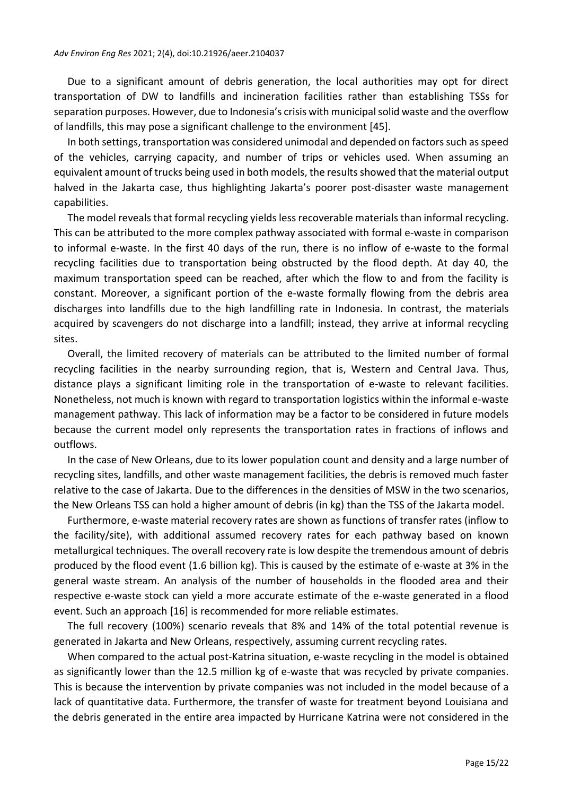Due to a significant amount of debris generation, the local authorities may opt for direct transportation of DW to landfills and incineration facilities rather than establishing TSSs for separation purposes. However, due to Indonesia's crisis with municipal solid waste and the overflow of landfills, this may pose a significant challenge to the environment [45].

In both settings, transportation was considered unimodal and depended on factors such as speed of the vehicles, carrying capacity, and number of trips or vehicles used. When assuming an equivalent amount of trucks being used in both models, the results showed that the material output halved in the Jakarta case, thus highlighting Jakarta's poorer post-disaster waste management capabilities.

The model reveals that formal recycling yields less recoverable materials than informal recycling. This can be attributed to the more complex pathway associated with formal e-waste in comparison to informal e-waste. In the first 40 days of the run, there is no inflow of e-waste to the formal recycling facilities due to transportation being obstructed by the flood depth. At day 40, the maximum transportation speed can be reached, after which the flow to and from the facility is constant. Moreover, a significant portion of the e-waste formally flowing from the debris area discharges into landfills due to the high landfilling rate in Indonesia. In contrast, the materials acquired by scavengers do not discharge into a landfill; instead, they arrive at informal recycling sites.

Overall, the limited recovery of materials can be attributed to the limited number of formal recycling facilities in the nearby surrounding region, that is, Western and Central Java. Thus, distance plays a significant limiting role in the transportation of e-waste to relevant facilities. Nonetheless, not much is known with regard to transportation logistics within the informal e-waste management pathway. This lack of information may be a factor to be considered in future models because the current model only represents the transportation rates in fractions of inflows and outflows.

In the case of New Orleans, due to its lower population count and density and a large number of recycling sites, landfills, and other waste management facilities, the debris is removed much faster relative to the case of Jakarta. Due to the differences in the densities of MSW in the two scenarios, the New Orleans TSS can hold a higher amount of debris (in kg) than the TSS of the Jakarta model.

Furthermore, e-waste material recovery rates are shown as functions of transfer rates (inflow to the facility/site), with additional assumed recovery rates for each pathway based on known metallurgical techniques. The overall recovery rate is low despite the tremendous amount of debris produced by the flood event (1.6 billion kg). This is caused by the estimate of e-waste at 3% in the general waste stream. An analysis of the number of households in the flooded area and their respective e-waste stock can yield a more accurate estimate of the e-waste generated in a flood event. Such an approach [16] is recommended for more reliable estimates.

The full recovery (100%) scenario reveals that 8% and 14% of the total potential revenue is generated in Jakarta and New Orleans, respectively, assuming current recycling rates.

When compared to the actual post-Katrina situation, e-waste recycling in the model is obtained as significantly lower than the 12.5 million kg of e-waste that was recycled by private companies. This is because the intervention by private companies was not included in the model because of a lack of quantitative data. Furthermore, the transfer of waste for treatment beyond Louisiana and the debris generated in the entire area impacted by Hurricane Katrina were not considered in the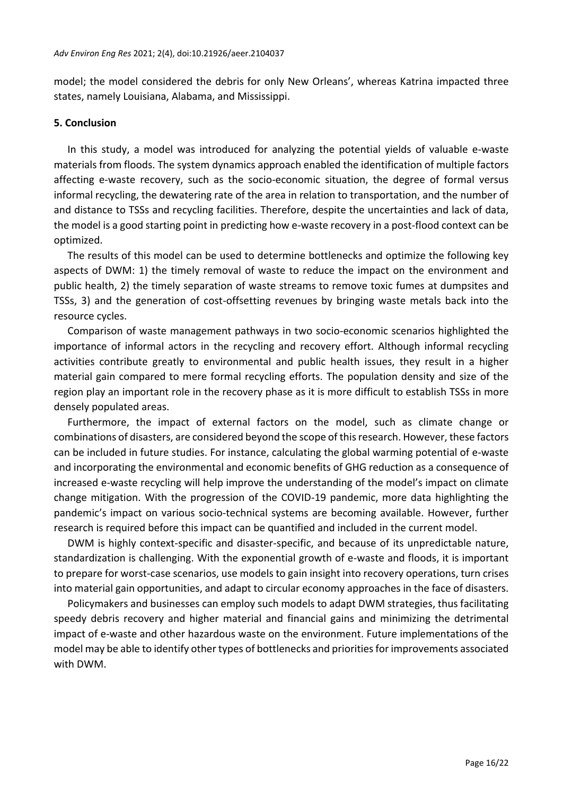model; the model considered the debris for only New Orleans', whereas Katrina impacted three states, namely Louisiana, Alabama, and Mississippi.

#### **5. Conclusion**

In this study, a model was introduced for analyzing the potential yields of valuable e-waste materials from floods. The system dynamics approach enabled the identification of multiple factors affecting e-waste recovery, such as the socio-economic situation, the degree of formal versus informal recycling, the dewatering rate of the area in relation to transportation, and the number of and distance to TSSs and recycling facilities. Therefore, despite the uncertainties and lack of data, the model is a good starting point in predicting how e-waste recovery in a post-flood context can be optimized.

The results of this model can be used to determine bottlenecks and optimize the following key aspects of DWM: 1) the timely removal of waste to reduce the impact on the environment and public health, 2) the timely separation of waste streams to remove toxic fumes at dumpsites and TSSs, 3) and the generation of cost-offsetting revenues by bringing waste metals back into the resource cycles.

Comparison of waste management pathways in two socio-economic scenarios highlighted the importance of informal actors in the recycling and recovery effort. Although informal recycling activities contribute greatly to environmental and public health issues, they result in a higher material gain compared to mere formal recycling efforts. The population density and size of the region play an important role in the recovery phase as it is more difficult to establish TSSs in more densely populated areas.

Furthermore, the impact of external factors on the model, such as climate change or combinations of disasters, are considered beyond the scope of this research. However, these factors can be included in future studies. For instance, calculating the global warming potential of e-waste and incorporating the environmental and economic benefits of GHG reduction as a consequence of increased e-waste recycling will help improve the understanding of the model's impact on climate change mitigation. With the progression of the COVID-19 pandemic, more data highlighting the pandemic's impact on various socio-technical systems are becoming available. However, further research is required before this impact can be quantified and included in the current model.

DWM is highly context-specific and disaster-specific, and because of its unpredictable nature, standardization is challenging. With the exponential growth of e-waste and floods, it is important to prepare for worst-case scenarios, use models to gain insight into recovery operations, turn crises into material gain opportunities, and adapt to circular economy approaches in the face of disasters.

Policymakers and businesses can employ such models to adapt DWM strategies, thus facilitating speedy debris recovery and higher material and financial gains and minimizing the detrimental impact of e-waste and other hazardous waste on the environment. Future implementations of the model may be able to identify other types of bottlenecks and priorities for improvements associated with DWM.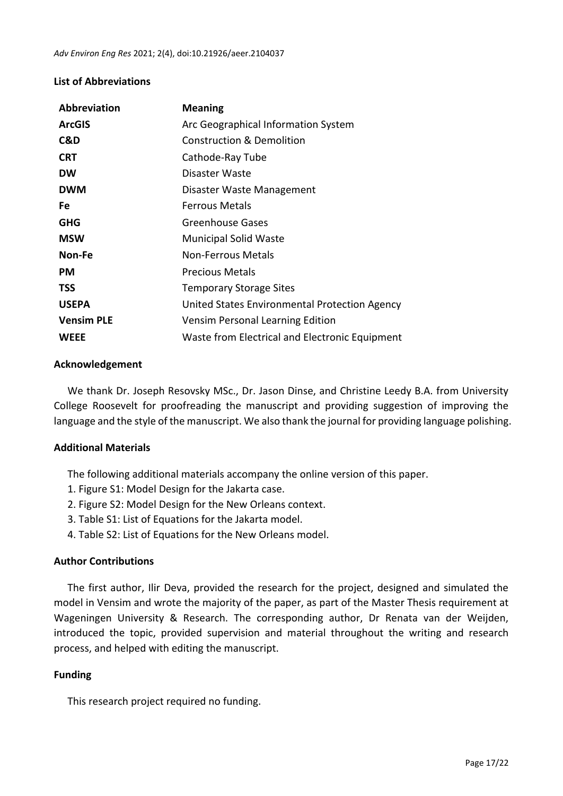# **List of Abbreviations**

| Abbreviation      | <b>Meaning</b>                                 |
|-------------------|------------------------------------------------|
| <b>ArcGIS</b>     | Arc Geographical Information System            |
| C&D               | <b>Construction &amp; Demolition</b>           |
| <b>CRT</b>        | Cathode-Ray Tube                               |
| <b>DW</b>         | Disaster Waste                                 |
| <b>DWM</b>        | Disaster Waste Management                      |
| Fe                | <b>Ferrous Metals</b>                          |
| <b>GHG</b>        | Greenhouse Gases                               |
| <b>MSW</b>        | <b>Municipal Solid Waste</b>                   |
| Non-Fe            | <b>Non-Ferrous Metals</b>                      |
| <b>PM</b>         | <b>Precious Metals</b>                         |
| <b>TSS</b>        | <b>Temporary Storage Sites</b>                 |
| <b>USEPA</b>      | United States Environmental Protection Agency  |
| <b>Vensim PLE</b> | <b>Vensim Personal Learning Edition</b>        |
| <b>WEEE</b>       | Waste from Electrical and Electronic Equipment |

#### **Acknowledgement**

We thank Dr. Joseph Resovsky MSc., Dr. Jason Dinse, and Christine Leedy B.A. from University College Roosevelt for proofreading the manuscript and providing suggestion of improving the language and the style of the manuscript. We also thank the journal for providing language polishing.

# **Additional Materials**

The following additional materials accompany the online version of this paper.

- 1. Figure S1: Model Design for the Jakarta case.
- 2. Figure S2: Model Design for the New Orleans context.
- 3. Table S1: List of Equations for the Jakarta model.
- 4. Table S2: List of Equations for the New Orleans model.

#### **Author Contributions**

The first author, Ilir Deva, provided the research for the project, designed and simulated the model in Vensim and wrote the majority of the paper, as part of the Master Thesis requirement at Wageningen University & Research. The corresponding author, Dr Renata van der Weijden, introduced the topic, provided supervision and material throughout the writing and research process, and helped with editing the manuscript.

# **Funding**

This research project required no funding.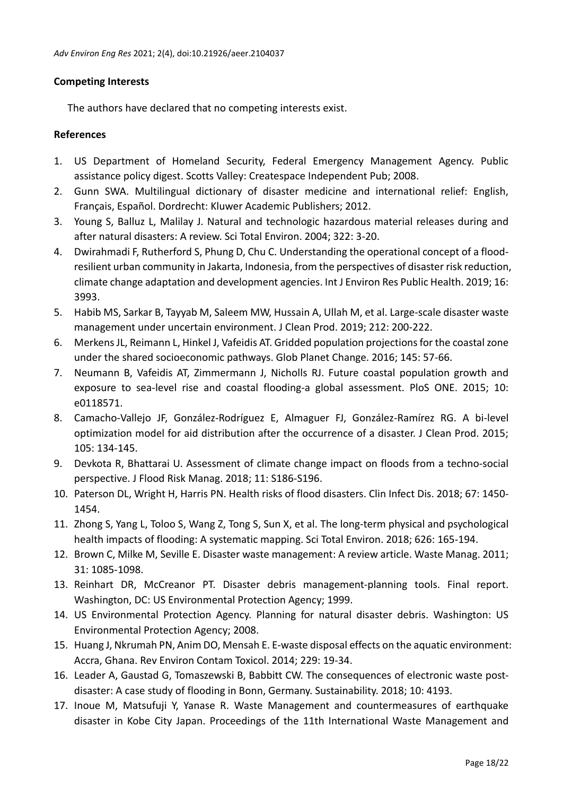# **Competing Interests**

The authors have declared that no competing interests exist.

# **References**

- 1. US Department of Homeland Security, Federal Emergency Management Agency. Public assistance policy digest. Scotts Valley: Createspace Independent Pub; 2008.
- 2. Gunn SWA. Multilingual dictionary of disaster medicine and international relief: English, Français, Español. Dordrecht: Kluwer Academic Publishers; 2012.
- 3. Young S, Balluz L, Malilay J. Natural and technologic hazardous material releases during and after natural disasters: A review. Sci Total Environ. 2004; 322: 3-20.
- 4. Dwirahmadi F, Rutherford S, Phung D, Chu C. Understanding the operational concept of a floodresilient urban community in Jakarta, Indonesia, from the perspectives of disaster risk reduction, climate change adaptation and development agencies. Int J Environ Res Public Health. 2019; 16: 3993.
- 5. Habib MS, Sarkar B, Tayyab M, Saleem MW, Hussain A, Ullah M, et al. Large-scale disaster waste management under uncertain environment. J Clean Prod. 2019; 212: 200-222.
- 6. Merkens JL, Reimann L, Hinkel J, Vafeidis AT. Gridded population projections for the coastal zone under the shared socioeconomic pathways. Glob Planet Change. 2016; 145: 57-66.
- 7. Neumann B, Vafeidis AT, Zimmermann J, Nicholls RJ. Future coastal population growth and exposure to sea-level rise and coastal flooding-a global assessment. PloS ONE. 2015; 10: e0118571.
- 8. Camacho-Vallejo JF, González-Rodríguez E, Almaguer FJ, González-Ramírez RG. A bi-level optimization model for aid distribution after the occurrence of a disaster. J Clean Prod. 2015; 105: 134-145.
- 9. Devkota R, Bhattarai U. Assessment of climate change impact on floods from a techno-social perspective. J Flood Risk Manag. 2018; 11: S186-S196.
- 10. Paterson DL, Wright H, Harris PN. Health risks of flood disasters. Clin Infect Dis. 2018; 67: 1450- 1454.
- 11. Zhong S, Yang L, Toloo S, Wang Z, Tong S, Sun X, et al. The long-term physical and psychological health impacts of flooding: A systematic mapping. Sci Total Environ. 2018; 626: 165-194.
- 12. Brown C, Milke M, Seville E. Disaster waste management: A review article. Waste Manag. 2011; 31: 1085-1098.
- 13. Reinhart DR, McCreanor PT. Disaster debris management-planning tools. Final report. Washington, DC: US Environmental Protection Agency; 1999.
- 14. US Environmental Protection Agency. Planning for natural disaster debris. Washington: US Environmental Protection Agency; 2008.
- 15. Huang J, Nkrumah PN, Anim DO, Mensah E. E-waste disposal effects on the aquatic environment: Accra, Ghana. Rev Environ Contam Toxicol. 2014; 229: 19-34.
- 16. Leader A, Gaustad G, Tomaszewski B, Babbitt CW. The consequences of electronic waste postdisaster: A case study of flooding in Bonn, Germany. Sustainability. 2018; 10: 4193.
- 17. Inoue M, Matsufuji Y, Yanase R. Waste Management and countermeasures of earthquake disaster in Kobe City Japan. Proceedings of the 11th International Waste Management and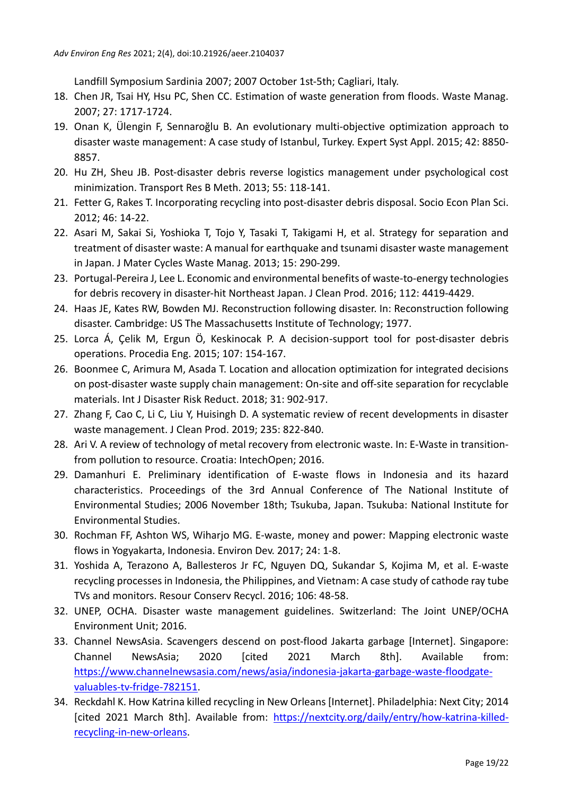Landfill Symposium Sardinia 2007; 2007 October 1st-5th; Cagliari, Italy.

- 18. Chen JR, Tsai HY, Hsu PC, Shen CC. Estimation of waste generation from floods. Waste Manag. 2007; 27: 1717-1724.
- 19. Onan K, Ülengin F, Sennaroğlu B. An evolutionary multi-objective optimization approach to disaster waste management: A case study of Istanbul, Turkey. Expert Syst Appl. 2015; 42: 8850- 8857.
- 20. Hu ZH, Sheu JB. Post-disaster debris reverse logistics management under psychological cost minimization. Transport Res B Meth. 2013; 55: 118-141.
- 21. Fetter G, Rakes T. Incorporating recycling into post-disaster debris disposal. Socio Econ Plan Sci. 2012; 46: 14-22.
- 22. Asari M, Sakai Si, Yoshioka T, Tojo Y, Tasaki T, Takigami H, et al. Strategy for separation and treatment of disaster waste: A manual for earthquake and tsunami disaster waste management in Japan. J Mater Cycles Waste Manag. 2013; 15: 290-299.
- 23. Portugal-Pereira J, Lee L. Economic and environmental benefits of waste-to-energy technologies for debris recovery in disaster-hit Northeast Japan. J Clean Prod. 2016; 112: 4419-4429.
- 24. Haas JE, Kates RW, Bowden MJ. Reconstruction following disaster. In: Reconstruction following disaster. Cambridge: US The Massachusetts Institute of Technology; 1977.
- 25. Lorca Á, Çelik M, Ergun Ö, Keskinocak P. A decision-support tool for post-disaster debris operations. Procedia Eng. 2015; 107: 154-167.
- 26. Boonmee C, Arimura M, Asada T. Location and allocation optimization for integrated decisions on post-disaster waste supply chain management: On-site and off-site separation for recyclable materials. Int J Disaster Risk Reduct. 2018; 31: 902-917.
- 27. Zhang F, Cao C, Li C, Liu Y, Huisingh D. A systematic review of recent developments in disaster waste management. J Clean Prod. 2019; 235: 822-840.
- 28. Ari V. A review of technology of metal recovery from electronic waste. In: E-Waste in transitionfrom pollution to resource. Croatia: IntechOpen; 2016.
- 29. Damanhuri E. Preliminary identification of E-waste flows in Indonesia and its hazard characteristics. Proceedings of the 3rd Annual Conference of The National Institute of Environmental Studies; 2006 November 18th; Tsukuba, Japan. Tsukuba: National Institute for Environmental Studies.
- 30. Rochman FF, Ashton WS, Wiharjo MG. E-waste, money and power: Mapping electronic waste flows in Yogyakarta, Indonesia. Environ Dev. 2017; 24: 1-8.
- 31. Yoshida A, Terazono A, Ballesteros Jr FC, Nguyen DQ, Sukandar S, Kojima M, et al. E-waste recycling processes in Indonesia, the Philippines, and Vietnam: A case study of cathode ray tube TVs and monitors. Resour Conserv Recycl. 2016; 106: 48-58.
- 32. UNEP, OCHA. Disaster waste management guidelines. Switzerland: The Joint UNEP/OCHA Environment Unit; 2016.
- 33. Channel NewsAsia. Scavengers descend on post-flood Jakarta garbage [Internet]. Singapore: Channel NewsAsia; 2020 [cited 2021 March 8th]. Available from: [https://www.channelnewsasia.com/news/asia/indonesia-jakarta-garbage-waste-floodgate](https://www.channelnewsasia.com/news/asia/indonesia-jakarta-garbage-waste-floodgate-valuables-tv-fridge-782151)[valuables-tv-fridge-782151.](https://www.channelnewsasia.com/news/asia/indonesia-jakarta-garbage-waste-floodgate-valuables-tv-fridge-782151)
- 34. Reckdahl K. How Katrina killed recycling in New Orleans [Internet]. Philadelphia: Next City; 2014 [cited 2021 March 8th]. Available from: [https://nextcity.org/daily/entry/how-katrina-killed](https://nextcity.org/daily/entry/how-katrina-killed-recycling-in-new-orleans)[recycling-in-new-orleans.](https://nextcity.org/daily/entry/how-katrina-killed-recycling-in-new-orleans)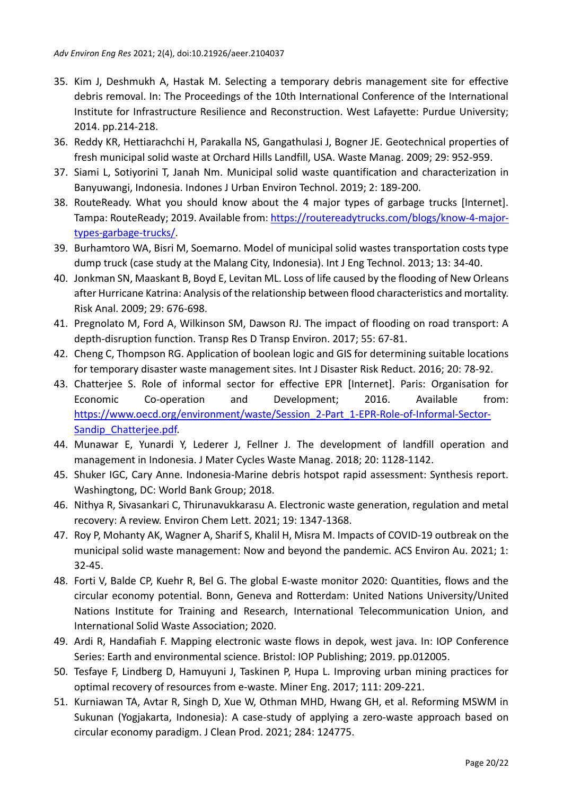- 35. Kim J, Deshmukh A, Hastak M. Selecting a temporary debris management site for effective debris removal. In: The Proceedings of the 10th International Conference of the International Institute for Infrastructure Resilience and Reconstruction. West Lafayette: Purdue University; 2014. pp.214-218.
- 36. Reddy KR, Hettiarachchi H, Parakalla NS, Gangathulasi J, Bogner JE. Geotechnical properties of fresh municipal solid waste at Orchard Hills Landfill, USA. Waste Manag. 2009; 29: 952-959.
- 37. Siami L, Sotiyorini T, Janah Nm. Municipal solid waste quantification and characterization in Banyuwangi, Indonesia. Indones J Urban Environ Technol. 2019; 2: 189-200.
- 38. RouteReady. What you should know about the 4 major types of garbage trucks [Internet]. Tampa: RouteReady; 2019. Available from: [https://routereadytrucks.com/blogs/know-4-major](https://routereadytrucks.com/blogs/know-4-major-types-garbage-trucks/)[types-garbage-trucks/.](https://routereadytrucks.com/blogs/know-4-major-types-garbage-trucks/)
- 39. Burhamtoro WA, Bisri M, Soemarno. Model of municipal solid wastes transportation costs type dump truck (case study at the Malang City, Indonesia). Int J Eng Technol. 2013; 13: 34-40.
- 40. Jonkman SN, Maaskant B, Boyd E, Levitan ML. Loss of life caused by the flooding of New Orleans after Hurricane Katrina: Analysis of the relationship between flood characteristics and mortality. Risk Anal. 2009; 29: 676-698.
- 41. Pregnolato M, Ford A, Wilkinson SM, Dawson RJ. The impact of flooding on road transport: A depth-disruption function. Transp Res D Transp Environ. 2017; 55: 67-81.
- 42. Cheng C, Thompson RG. Application of boolean logic and GIS for determining suitable locations for temporary disaster waste management sites. Int J Disaster Risk Reduct. 2016; 20: 78-92.
- 43. Chatterjee S. Role of informal sector for effective EPR [Internet]. Paris: Organisation for Economic Co-operation and Development; 2016. Available from: [https://www.oecd.org/environment/waste/Session\\_2-Part\\_1-EPR-Role-of-Informal-Sector-](https://www.oecd.org/environment/waste/Session_2-Part_1-EPR-Role-of-Informal-Sector-Sandip_Chatterjee.pdf)[Sandip\\_Chatterjee.pdf.](https://www.oecd.org/environment/waste/Session_2-Part_1-EPR-Role-of-Informal-Sector-Sandip_Chatterjee.pdf)
- 44. Munawar E, Yunardi Y, Lederer J, Fellner J. The development of landfill operation and management in Indonesia. J Mater Cycles Waste Manag. 2018; 20: 1128-1142.
- 45. Shuker IGC, Cary Anne. Indonesia-Marine debris hotspot rapid assessment: Synthesis report. Washingtong, DC: World Bank Group; 2018.
- 46. Nithya R, Sivasankari C, Thirunavukkarasu A. Electronic waste generation, regulation and metal recovery: A review. Environ Chem Lett. 2021; 19: 1347-1368.
- 47. Roy P, Mohanty AK, Wagner A, Sharif S, Khalil H, Misra M. Impacts of COVID-19 outbreak on the municipal solid waste management: Now and beyond the pandemic. ACS Environ Au. 2021; 1: 32-45.
- 48. Forti V, Balde CP, Kuehr R, Bel G. The global E-waste monitor 2020: Quantities, flows and the circular economy potential. Bonn, Geneva and Rotterdam: United Nations University/United Nations Institute for Training and Research, International Telecommunication Union, and International Solid Waste Association; 2020.
- 49. Ardi R, Handafiah F. Mapping electronic waste flows in depok, west java. In: IOP Conference Series: Earth and environmental science. Bristol: IOP Publishing; 2019. pp.012005.
- 50. Tesfaye F, Lindberg D, Hamuyuni J, Taskinen P, Hupa L. Improving urban mining practices for optimal recovery of resources from e-waste. Miner Eng. 2017; 111: 209-221.
- 51. Kurniawan TA, Avtar R, Singh D, Xue W, Othman MHD, Hwang GH, et al. Reforming MSWM in Sukunan (Yogjakarta, Indonesia): A case-study of applying a zero-waste approach based on circular economy paradigm. J Clean Prod. 2021; 284: 124775.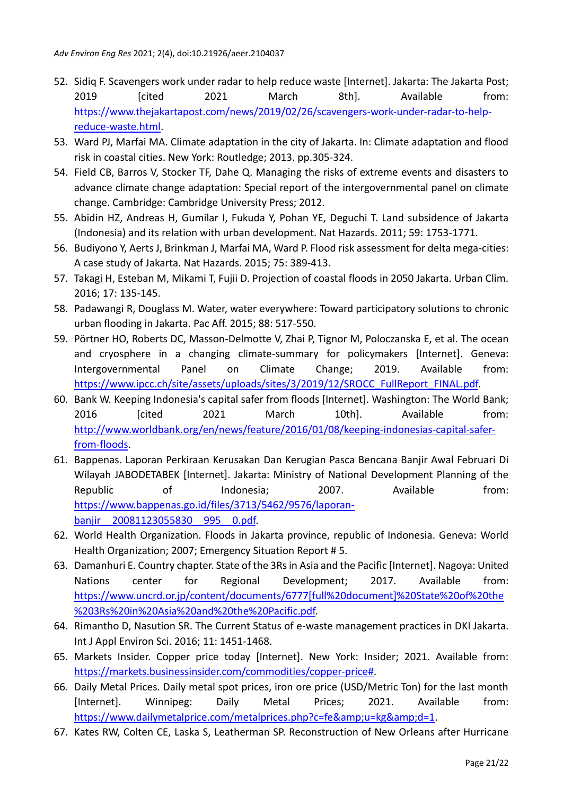- 52. Sidiq F. Scavengers work under radar to help reduce waste [Internet]. Jakarta: The Jakarta Post; 2019 [cited 2021 March 8th]. Available from: [https://www.thejakartapost.com/news/2019/02/26/scavengers-work-under-radar-to-help](https://www.thejakartapost.com/news/2019/02/26/scavengers-work-under-radar-to-help-reduce-waste.html)[reduce-waste.html.](https://www.thejakartapost.com/news/2019/02/26/scavengers-work-under-radar-to-help-reduce-waste.html)
- 53. Ward PJ, Marfai MA. Climate adaptation in the city of Jakarta. In: Climate adaptation and flood risk in coastal cities. New York: Routledge; 2013. pp.305-324.
- 54. Field CB, Barros V, Stocker TF, Dahe Q. Managing the risks of extreme events and disasters to advance climate change adaptation: Special report of the intergovernmental panel on climate change. Cambridge: Cambridge University Press; 2012.
- 55. Abidin HZ, Andreas H, Gumilar I, Fukuda Y, Pohan YE, Deguchi T. Land subsidence of Jakarta (Indonesia) and its relation with urban development. Nat Hazards. 2011; 59: 1753-1771.
- 56. Budiyono Y, Aerts J, Brinkman J, Marfai MA, Ward P. Flood risk assessment for delta mega-cities: A case study of Jakarta. Nat Hazards. 2015; 75: 389-413.
- 57. Takagi H, Esteban M, Mikami T, Fujii D. Projection of coastal floods in 2050 Jakarta. Urban Clim. 2016; 17: 135-145.
- 58. Padawangi R, Douglass M. Water, water everywhere: Toward participatory solutions to chronic urban flooding in Jakarta. Pac Aff. 2015; 88: 517-550.
- 59. Pörtner HO, Roberts DC, Masson-Delmotte V, Zhai P, Tignor M, Poloczanska E, et al. The ocean and cryosphere in a changing climate-summary for policymakers [Internet]. Geneva: Intergovernmental Panel on Climate Change; 2019. Available from: [https://www.ipcc.ch/site/assets/uploads/sites/3/2019/12/SROCC\\_FullReport\\_FINAL.pdf.](https://www.ipcc.ch/site/assets/uploads/sites/3/2019/12/SROCC_FullReport_FINAL.pdf)
- 60. Bank W. Keeping Indonesia's capital safer from floods [Internet]. Washington: The World Bank; 2016 [cited 2021 March 10th]. Available from: [http://www.worldbank.org/en/news/feature/2016/01/08/keeping-indonesias-capital-safer](http://www.worldbank.org/en/news/feature/2016/01/08/keeping-indonesias-capital-safer-from-floods)[from-floods.](http://www.worldbank.org/en/news/feature/2016/01/08/keeping-indonesias-capital-safer-from-floods)
- 61. Bappenas. Laporan Perkiraan Kerusakan Dan Kerugian Pasca Bencana Banjir Awal Februari Di Wilayah JABODETABEK [Internet]. Jakarta: Ministry of National Development Planning of the Republic of Indonesia; 2007. Available from: [https://www.bappenas.go.id/files/3713/5462/9576/laporan](https://www.bappenas.go.id/files/3713/5462/9576/laporan-banjir__20081123055830__995__0.pdf)[banjir\\_\\_20081123055830\\_\\_995\\_\\_0.pdf.](https://www.bappenas.go.id/files/3713/5462/9576/laporan-banjir__20081123055830__995__0.pdf)
- 62. World Health Organization. Floods in Jakarta province, republic of Indonesia. Geneva: World Health Organization; 2007; Emergency Situation Report # 5.
- 63. Damanhuri E. Country chapter. State of the 3Rs in Asia and the Pacific [Internet]. Nagoya: United Nations center for Regional Development; 2017. Available from: [https://www.uncrd.or.jp/content/documents/6777\[full%20document\]%20State%20of%20the](https://www.uncrd.or.jp/content/documents/6777%5bfull%20document%5d%20State%20of%20the%203Rs%20in%20Asia%20and%20the%20Pacific.pdf) [%203Rs%20in%20Asia%20and%20the%20Pacific.pdf.](https://www.uncrd.or.jp/content/documents/6777%5bfull%20document%5d%20State%20of%20the%203Rs%20in%20Asia%20and%20the%20Pacific.pdf)
- 64. Rimantho D, Nasution SR. The Current Status of e-waste management practices in DKI Jakarta. Int J Appl Environ Sci. 2016; 11: 1451-1468.
- 65. Markets Insider. Copper price today [Internet]. New York: Insider; 2021. Available from: [https://markets.businessinsider.com/commodities/copper-price#.](https://markets.businessinsider.com/commodities/copper-price)
- 66. Daily Metal Prices. Daily metal spot prices, iron ore price (USD/Metric Ton) for the last month [Internet]. Winnipeg: Daily Metal Prices; 2021. Available from: [https://www.dailymetalprice.com/metalprices.php?c=fe&u=kg&d=1.](https://www.dailymetalprice.com/metalprices.php?c=fe&u=kg&d=1)
- 67. Kates RW, Colten CE, Laska S, Leatherman SP. Reconstruction of New Orleans after Hurricane